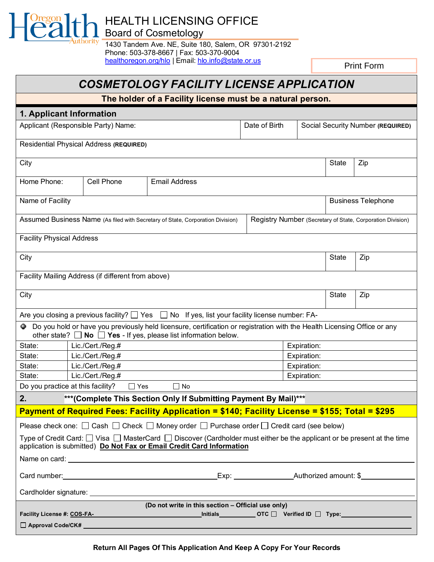HEALTH LICENSING OFFICE

Board of Cosmetology

uthority

1430 Tandem Ave. NE, Suite 180, Salem, OR 97301-2192 Phone: 503-378-8667 | Fax: 503-370-9004 [healthoregon.org/hlo](http://healthoregon.org/hlo) | Email[: hlo.info@state.or.us](mailto:hlo.info@state.or.us)

Print Form

## *COSMETOLOGY FACILITY LICENSE APPLICATION*

**The holder of a Facility license must be a natural person.**

| 1. Applicant Information                                                                                                                                                                                       |                  |                                                                                                          |               |             |                                   |                           |  |
|----------------------------------------------------------------------------------------------------------------------------------------------------------------------------------------------------------------|------------------|----------------------------------------------------------------------------------------------------------|---------------|-------------|-----------------------------------|---------------------------|--|
| Applicant (Responsible Party) Name:                                                                                                                                                                            |                  |                                                                                                          | Date of Birth |             | Social Security Number (REQUIRED) |                           |  |
| Residential Physical Address (REQUIRED)                                                                                                                                                                        |                  |                                                                                                          |               |             |                                   |                           |  |
| City                                                                                                                                                                                                           |                  |                                                                                                          |               |             | State                             | Zip                       |  |
| Home Phone:                                                                                                                                                                                                    | Cell Phone       | <b>Email Address</b>                                                                                     |               |             |                                   |                           |  |
| Name of Facility                                                                                                                                                                                               |                  |                                                                                                          |               |             |                                   | <b>Business Telephone</b> |  |
| Assumed Business Name (As filed with Secretary of State, Corporation Division)<br>Registry Number (Secretary of State, Corporation Division)                                                                   |                  |                                                                                                          |               |             |                                   |                           |  |
| <b>Facility Physical Address</b>                                                                                                                                                                               |                  |                                                                                                          |               |             |                                   |                           |  |
| City                                                                                                                                                                                                           |                  |                                                                                                          | <b>State</b>  | Zip         |                                   |                           |  |
| Facility Mailing Address (if different from above)                                                                                                                                                             |                  |                                                                                                          |               |             |                                   |                           |  |
| City                                                                                                                                                                                                           |                  |                                                                                                          | <b>State</b>  | Zip         |                                   |                           |  |
|                                                                                                                                                                                                                |                  | Are you closing a previous facility? $\Box$ Yes $\Box$ No If yes, list your facility license number: FA- |               |             |                                   |                           |  |
| Do you hold or have you previously held licensure, certification or registration with the Health Licensing Office or any<br>0<br>other state? $\Box$ No $\Box$ Yes - If yes, please list information below.    |                  |                                                                                                          |               |             |                                   |                           |  |
| State:                                                                                                                                                                                                         | Lic./Cert./Reg.# |                                                                                                          |               | Expiration: |                                   |                           |  |
| State:                                                                                                                                                                                                         | Lic./Cert./Reg.# |                                                                                                          |               | Expiration: |                                   |                           |  |
| State:                                                                                                                                                                                                         | Lic./Cert./Reg.# |                                                                                                          |               | Expiration: |                                   |                           |  |
| Lic./Cert./Reg.#<br>State:<br>Expiration:                                                                                                                                                                      |                  |                                                                                                          |               |             |                                   |                           |  |
| Do you practice at this facility?<br>$\Box$ No<br>$\Box$ Yes                                                                                                                                                   |                  |                                                                                                          |               |             |                                   |                           |  |
| 2.                                                                                                                                                                                                             |                  | *** (Complete This Section Only If Submitting Payment By Mail)***                                        |               |             |                                   |                           |  |
|                                                                                                                                                                                                                |                  | Payment of Required Fees: Facility Application = \$140; Facility License = \$155; Total = \$295          |               |             |                                   |                           |  |
| Please check one: $\Box$ Cash $\Box$ Check $\Box$ Money order $\Box$ Purchase order $\Box$ Credit card (see below)                                                                                             |                  |                                                                                                          |               |             |                                   |                           |  |
| Type of Credit Card: $\Box$ Visa $\Box$ MasterCard $\Box$ Discover (Cardholder must either be the applicant or be present at the time<br>application is submitted) Do Not Fax or Email Credit Card Information |                  |                                                                                                          |               |             |                                   |                           |  |
|                                                                                                                                                                                                                |                  |                                                                                                          |               |             |                                   |                           |  |
| Card number:                                                                                                                                                                                                   |                  |                                                                                                          |               |             |                                   |                           |  |
|                                                                                                                                                                                                                |                  |                                                                                                          |               |             |                                   |                           |  |
| (Do not write in this section - Official use only)                                                                                                                                                             |                  |                                                                                                          |               |             |                                   |                           |  |
| Facility License #: COS-FA-<br>_Initials_____________OTC □ Verified ID □ Type:_________________________________                                                                                                |                  |                                                                                                          |               |             |                                   |                           |  |
| □ Approval Code/CK#                                                                                                                                                                                            |                  |                                                                                                          |               |             |                                   |                           |  |

**Return All Pages Of This Application And Keep A Copy For Your Records**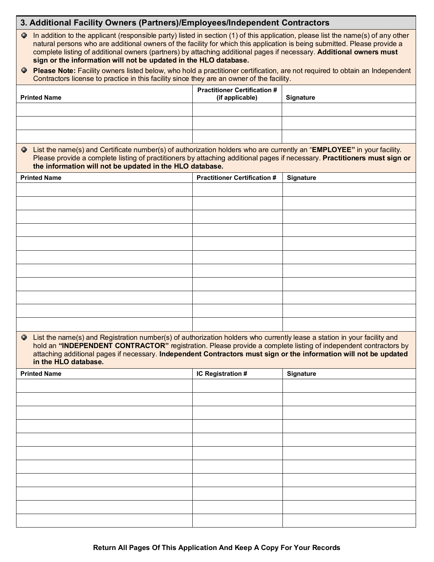| 3. Additional Facility Owners (Partners)/Employees/Independent Contractors                                                                                                                                                                                                                                                                                                                                                                                    |                                                        |           |  |  |  |  |
|---------------------------------------------------------------------------------------------------------------------------------------------------------------------------------------------------------------------------------------------------------------------------------------------------------------------------------------------------------------------------------------------------------------------------------------------------------------|--------------------------------------------------------|-----------|--|--|--|--|
| In addition to the applicant (responsible party) listed in section (1) of this application, please list the name(s) of any other<br>۰<br>natural persons who are additional owners of the facility for which this application is being submitted. Please provide a<br>complete listing of additional owners (partners) by attaching additional pages if necessary. Additional owners must<br>sign or the information will not be updated in the HLO database. |                                                        |           |  |  |  |  |
| Please Note: Facility owners listed below, who hold a practitioner certification, are not required to obtain an Independent<br>Ф.<br>Contractors license to practice in this facility since they are an owner of the facility.                                                                                                                                                                                                                                |                                                        |           |  |  |  |  |
| <b>Printed Name</b>                                                                                                                                                                                                                                                                                                                                                                                                                                           | <b>Practitioner Certification #</b><br>(if applicable) | Signature |  |  |  |  |
|                                                                                                                                                                                                                                                                                                                                                                                                                                                               |                                                        |           |  |  |  |  |
|                                                                                                                                                                                                                                                                                                                                                                                                                                                               |                                                        |           |  |  |  |  |
| • List the name(s) and Certificate number(s) of authorization holders who are currently an "EMPLOYEE" in your facility.<br>Please provide a complete listing of practitioners by attaching additional pages if necessary. Practitioners must sign or<br>the information will not be updated in the HLO database.                                                                                                                                              |                                                        |           |  |  |  |  |
| <b>Printed Name</b>                                                                                                                                                                                                                                                                                                                                                                                                                                           | <b>Practitioner Certification #</b>                    | Signature |  |  |  |  |
|                                                                                                                                                                                                                                                                                                                                                                                                                                                               |                                                        |           |  |  |  |  |
|                                                                                                                                                                                                                                                                                                                                                                                                                                                               |                                                        |           |  |  |  |  |
|                                                                                                                                                                                                                                                                                                                                                                                                                                                               |                                                        |           |  |  |  |  |
|                                                                                                                                                                                                                                                                                                                                                                                                                                                               |                                                        |           |  |  |  |  |
|                                                                                                                                                                                                                                                                                                                                                                                                                                                               |                                                        |           |  |  |  |  |
|                                                                                                                                                                                                                                                                                                                                                                                                                                                               |                                                        |           |  |  |  |  |
|                                                                                                                                                                                                                                                                                                                                                                                                                                                               |                                                        |           |  |  |  |  |
|                                                                                                                                                                                                                                                                                                                                                                                                                                                               |                                                        |           |  |  |  |  |
|                                                                                                                                                                                                                                                                                                                                                                                                                                                               |                                                        |           |  |  |  |  |
| In List the name(s) and Registration number(s) of authorization holders who currently lease a station in your facility and<br>hold an "INDEPENDENT CONTRACTOR" registration. Please provide a complete listing of independent contractors by<br>attaching additional pages if necessary. Independent Contractors must sign or the information will not be updated<br>in the HLO database.                                                                     |                                                        |           |  |  |  |  |
| <b>Printed Name</b>                                                                                                                                                                                                                                                                                                                                                                                                                                           | IC Registration #                                      | Signature |  |  |  |  |
|                                                                                                                                                                                                                                                                                                                                                                                                                                                               |                                                        |           |  |  |  |  |
|                                                                                                                                                                                                                                                                                                                                                                                                                                                               |                                                        |           |  |  |  |  |
|                                                                                                                                                                                                                                                                                                                                                                                                                                                               |                                                        |           |  |  |  |  |
|                                                                                                                                                                                                                                                                                                                                                                                                                                                               |                                                        |           |  |  |  |  |
|                                                                                                                                                                                                                                                                                                                                                                                                                                                               |                                                        |           |  |  |  |  |
|                                                                                                                                                                                                                                                                                                                                                                                                                                                               |                                                        |           |  |  |  |  |
|                                                                                                                                                                                                                                                                                                                                                                                                                                                               |                                                        |           |  |  |  |  |
|                                                                                                                                                                                                                                                                                                                                                                                                                                                               |                                                        |           |  |  |  |  |
|                                                                                                                                                                                                                                                                                                                                                                                                                                                               |                                                        |           |  |  |  |  |
|                                                                                                                                                                                                                                                                                                                                                                                                                                                               |                                                        |           |  |  |  |  |

ī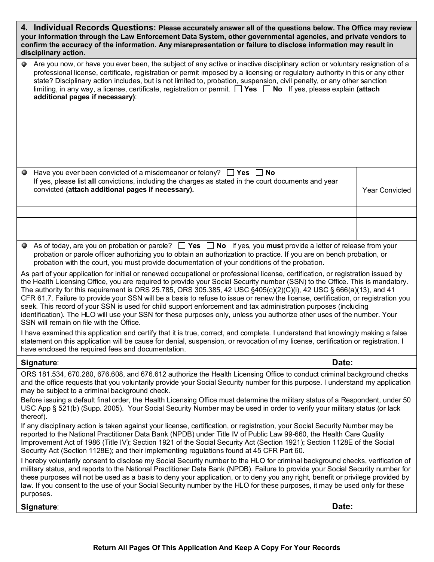| 4. Individual Records Questions: Please accurately answer all of the questions below. The Office may review<br>your information through the Law Enforcement Data System, other governmental agencies, and private vendors to<br>confirm the accuracy of the information. Any misrepresentation or failure to disclose information may result in<br>disciplinary action.                                                                                                                                                                                                                                                                                                                                                                                                                                                |                       |  |  |
|------------------------------------------------------------------------------------------------------------------------------------------------------------------------------------------------------------------------------------------------------------------------------------------------------------------------------------------------------------------------------------------------------------------------------------------------------------------------------------------------------------------------------------------------------------------------------------------------------------------------------------------------------------------------------------------------------------------------------------------------------------------------------------------------------------------------|-----------------------|--|--|
| Are you now, or have you ever been, the subject of any active or inactive disciplinary action or voluntary resignation of a<br>۰<br>professional license, certificate, registration or permit imposed by a licensing or regulatory authority in this or any other<br>state? Disciplinary action includes, but is not limited to, probation, suspension, civil penalty, or any other sanction<br>limiting, in any way, a license, certificate, registration or permit. $\Box$ Yes $\Box$ No If yes, please explain (attach<br>additional pages if necessary):                                                                                                                                                                                                                                                           |                       |  |  |
| Have you ever been convicted of a misdemeanor or felony? $\Box$ Yes $\Box$ No<br>۰                                                                                                                                                                                                                                                                                                                                                                                                                                                                                                                                                                                                                                                                                                                                     |                       |  |  |
| If yes, please list all convictions, including the charges as stated in the court documents and year<br>convicted (attach additional pages if necessary).                                                                                                                                                                                                                                                                                                                                                                                                                                                                                                                                                                                                                                                              | <b>Year Convicted</b> |  |  |
|                                                                                                                                                                                                                                                                                                                                                                                                                                                                                                                                                                                                                                                                                                                                                                                                                        |                       |  |  |
|                                                                                                                                                                                                                                                                                                                                                                                                                                                                                                                                                                                                                                                                                                                                                                                                                        |                       |  |  |
|                                                                                                                                                                                                                                                                                                                                                                                                                                                                                                                                                                                                                                                                                                                                                                                                                        |                       |  |  |
| As of today, are you on probation or parole? $\Box$ Yes $\Box$ No If yes, you must provide a letter of release from your<br>probation or parole officer authorizing you to obtain an authorization to practice. If you are on bench probation, or<br>probation with the court, you must provide documentation of your conditions of the probation.                                                                                                                                                                                                                                                                                                                                                                                                                                                                     |                       |  |  |
| As part of your application for initial or renewed occupational or professional license, certification, or registration issued by<br>the Health Licensing Office, you are required to provide your Social Security number (SSN) to the Office. This is mandatory.<br>The authority for this requirement is ORS 25.785, ORS 305.385, 42 USC §405(c)(2)(C)(i), 42 USC § 666(a)(13), and 41<br>CFR 61.7. Failure to provide your SSN will be a basis to refuse to issue or renew the license, certification, or registration you<br>seek. This record of your SSN is used for child support enforcement and tax administration purposes (including<br>identification). The HLO will use your SSN for these purposes only, unless you authorize other uses of the number. Your<br>SSN will remain on file with the Office. |                       |  |  |
| I have examined this application and certify that it is true, correct, and complete. I understand that knowingly making a false<br>statement on this application will be cause for denial, suspension, or revocation of my license, certification or registration. I<br>have enclosed the required fees and documentation.                                                                                                                                                                                                                                                                                                                                                                                                                                                                                             |                       |  |  |
| Signature:                                                                                                                                                                                                                                                                                                                                                                                                                                                                                                                                                                                                                                                                                                                                                                                                             | Date:                 |  |  |
| ORS 181.534, 670.280, 676.608, and 676.612 authorize the Health Licensing Office to conduct criminal background checks<br>and the office requests that you voluntarily provide your Social Security number for this purpose. I understand my application<br>may be subject to a criminal background check.                                                                                                                                                                                                                                                                                                                                                                                                                                                                                                             |                       |  |  |
| Before issuing a default final order, the Health Licensing Office must determine the military status of a Respondent, under 50<br>USC App § 521(b) (Supp. 2005). Your Social Security Number may be used in order to verify your military status (or lack<br>thereof).                                                                                                                                                                                                                                                                                                                                                                                                                                                                                                                                                 |                       |  |  |
| If any disciplinary action is taken against your license, certification, or registration, your Social Security Number may be<br>reported to the National Practitioner Data Bank (NPDB) under Title IV of Public Law 99-660, the Health Care Quality<br>Improvement Act of 1986 (Title IV); Section 1921 of the Social Security Act (Section 1921); Section 1128E of the Social<br>Security Act (Section 1128E); and their implementing regulations found at 45 CFR Part 60.                                                                                                                                                                                                                                                                                                                                            |                       |  |  |
| I hereby voluntarily consent to disclose my Social Security number to the HLO for criminal background checks, verification of<br>military status, and reports to the National Practitioner Data Bank (NPDB). Failure to provide your Social Security number for<br>these purposes will not be used as a basis to deny your application, or to deny you any right, benefit or privilege provided by<br>law. If you consent to the use of your Social Security number by the HLO for these purposes, it may be used only for these<br>purposes.                                                                                                                                                                                                                                                                          |                       |  |  |
| Signature:                                                                                                                                                                                                                                                                                                                                                                                                                                                                                                                                                                                                                                                                                                                                                                                                             | Date:                 |  |  |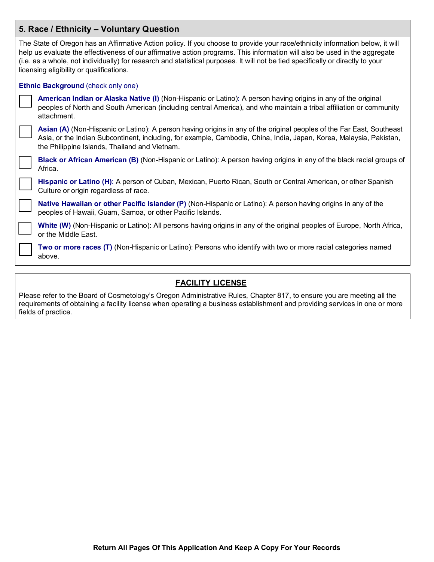| 5. Race / Ethnicity - Voluntary Question |                                                                                                                                                                                                                                                                                                                                                                                                                                            |  |  |
|------------------------------------------|--------------------------------------------------------------------------------------------------------------------------------------------------------------------------------------------------------------------------------------------------------------------------------------------------------------------------------------------------------------------------------------------------------------------------------------------|--|--|
|                                          | The State of Oregon has an Affirmative Action policy. If you choose to provide your race/ethnicity information below, it will<br>help us evaluate the effectiveness of our affirmative action programs. This information will also be used in the aggregate<br>(i.e. as a whole, not individually) for research and statistical purposes. It will not be tied specifically or directly to your<br>licensing eligibility or qualifications. |  |  |
|                                          | Ethnic Background (check only one)                                                                                                                                                                                                                                                                                                                                                                                                         |  |  |
|                                          | American Indian or Alaska Native (I) (Non-Hispanic or Latino): A person having origins in any of the original<br>peoples of North and South American (including central America), and who maintain a tribal affiliation or community<br>attachment.                                                                                                                                                                                        |  |  |
|                                          | Asian (A) (Non-Hispanic or Latino): A person having origins in any of the original peoples of the Far East, Southeast<br>Asia, or the Indian Subcontinent, including, for example, Cambodia, China, India, Japan, Korea, Malaysia, Pakistan,<br>the Philippine Islands, Thailand and Vietnam.                                                                                                                                              |  |  |
|                                          | Black or African American (B) (Non-Hispanic or Latino): A person having origins in any of the black racial groups of<br>Africa.                                                                                                                                                                                                                                                                                                            |  |  |
|                                          | Hispanic or Latino (H): A person of Cuban, Mexican, Puerto Rican, South or Central American, or other Spanish<br>Culture or origin regardless of race.                                                                                                                                                                                                                                                                                     |  |  |
|                                          | Native Hawaiian or other Pacific Islander (P) (Non-Hispanic or Latino): A person having origins in any of the<br>peoples of Hawaii, Guam, Samoa, or other Pacific Islands.                                                                                                                                                                                                                                                                 |  |  |
|                                          | White (W) (Non-Hispanic or Latino): All persons having origins in any of the original peoples of Europe, North Africa,<br>or the Middle East.                                                                                                                                                                                                                                                                                              |  |  |
|                                          | Two or more races (T) (Non-Hispanic or Latino): Persons who identify with two or more racial categories named<br>above.                                                                                                                                                                                                                                                                                                                    |  |  |

## **FACILITY LICENSE**

Please refer to the Board of Cosmetology's Oregon Administrative Rules, Chapter 817, to ensure you are meeting all the requirements of obtaining a facility license when operating a business establishment and providing services in one or more fields of practice.